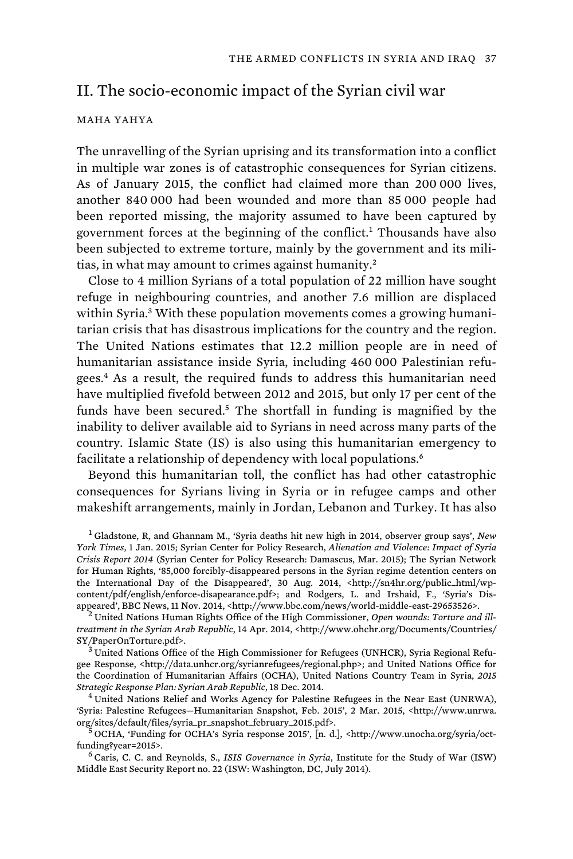# II. The socio-economic impact of the Syrian civil war

#### MAHA YAHYA

The unravelling of the Syrian uprising and its transformation into a conflict in multiple war zones is of catastrophic consequences for Syrian citizens. As of January 2015, the conflict had claimed more than 200 000 lives, another 840 000 had been wounded and more than 85 000 people had been reported missing, the majority assumed to have been captured by government forces at the beginning of the conflict.<sup>1</sup> Thousands have also been subjected to extreme torture, mainly by the government and its militias, in what may amount to crimes against humanity.<sup>2</sup>

Close to 4 million Syrians of a total population of 22 million have sought refuge in neighbouring countries, and another 7.6 million are displaced within Syria.<sup>3</sup> With these population movements comes a growing humanitarian crisis that has disastrous implications for the country and the region. The United Nations estimates that 12.2 million people are in need of humanitarian assistance inside Syria, including 460 000 Palestinian refugees.<sup>4</sup> As a result, the required funds to address this humanitarian need have multiplied fivefold between 2012 and 2015, but only 17 per cent of the funds have been secured.<sup>5</sup> The shortfall in funding is magnified by the inability to deliver available aid to Syrians in need across many parts of the country. Islamic State (IS) is also using this humanitarian emergency to facilitate a relationship of dependency with local populations.<sup>6</sup>

Beyond this humanitarian toll, the conflict has had other catastrophic consequences for Syrians living in Syria or in refugee camps and other makeshift arrangements, mainly in Jordan, Lebanon and Turkey. It has also

<sup>1</sup>Gladstone, R, and Ghannam M., 'Syria deaths hit new high in 2014, observer group says', *New York Times*, 1 Jan. 2015; Syrian Center for Policy Research, *Alienation and Violence: Impact of Syria Crisis Report 2014* (Syrian Center for Policy Research: Damascus, Mar. 2015); The Syrian Network for Human Rights, '85,000 forcibly-disappeared persons in the Syrian regime detention centers on the International Day of the Disappeared', 30 Aug. 2014, <http://sn4hr.org/public\_html/wpcontent/pdf/english/enforce-disapearance.pdf>; and Rodgers, L. and Irshaid, F., 'Syria's Disappeared', BBC News, 11 Nov. 2014, <http://www.bbc.com/news/world-middle-east-29653526>. 2 United Nations Human Rights Office of the High Commissioner, *Open wounds: Torture and ill-*

*treatment in the Syrian Arab Republic*, 14 Apr. 2014, <http://www.ohchr.org/Documents/Countries/

 $\overline{\text{^{'}3}}$ United Nations Office of the High Commissioner for Refugees (UNHCR), Syria Regional Refugee Response, <http://data.unhcr.org/syrianrefugees/regional.php>; and United Nations Office for the Coordination of Humanitarian Affairs (OCHA), United Nations Country Team in Syria, *2015 Strategic Response Plan: Syrian Arab Republic*, 18 Dec. 2014. 4 United Nations Relief and Works Agency for Palestine Refugees in the Near East (UNRWA),

'Syria: Palestine Refugees—Humanitarian Snapshot, Feb. 2015', 2 Mar. 2015, <http://www.unrwa. org/sites/default/files/syria\_pr\_snapshot\_february\_2015.pdf>. 5 OCHA, 'Funding for OCHA's Syria response 2015', [n. d.], <http://www.unocha.org/syria/oct-

funding?year=2015>.<br><sup>6</sup> Caris, C. C. and Reynolds, S., *ISIS Governance in Syria*, Institute for the Study of War (ISW)

Middle East Security Report no. 22 (ISW: Washington, DC, July 2014).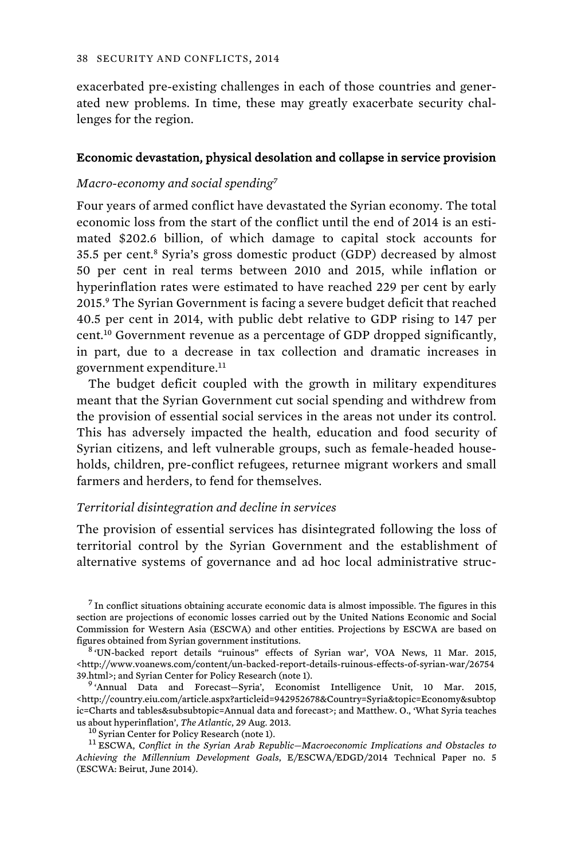exacerbated pre-existing challenges in each of those countries and generated new problems. In time, these may greatly exacerbate security challenges for the region.

#### Economic devastation, physical desolation and collapse in service provision

### *Macro-economy and social spending<sup>7</sup>*

Four years of armed conflict have devastated the Syrian economy. The total economic loss from the start of the conflict until the end of 2014 is an estimated \$202.6 billion, of which damage to capital stock accounts for 35.5 per cent.<sup>8</sup> Syria's gross domestic product (GDP) decreased by almost 50 per cent in real terms between 2010 and 2015, while inflation or hyperinflation rates were estimated to have reached 229 per cent by early 2015.<sup>9</sup> The Syrian Government is facing a severe budget deficit that reached 40.5 per cent in 2014, with public debt relative to GDP rising to 147 per cent.<sup>10</sup> Government revenue as a percentage of GDP dropped significantly, in part, due to a decrease in tax collection and dramatic increases in government expenditure.<sup>11</sup>

The budget deficit coupled with the growth in military expenditures meant that the Syrian Government cut social spending and withdrew from the provision of essential social services in the areas not under its control. This has adversely impacted the health, education and food security of Syrian citizens, and left vulnerable groups, such as female-headed households, children, pre-conflict refugees, returnee migrant workers and small farmers and herders, to fend for themselves.

#### *Territorial disintegration and decline in services*

The provision of essential services has disintegrated following the loss of territorial control by the Syrian Government and the establishment of alternative systems of governance and ad hoc local administrative struc-

 $<sup>7</sup>$  In conflict situations obtaining accurate economic data is almost impossible. The figures in this</sup> section are projections of economic losses carried out by the United Nations Economic and Social Commission for Western Asia (ESCWA) and other entities. Projections by ESCWA are based on

 $8$  'UN-backed report details "ruinous" effects of Syrian war', VOA News, 11 Mar. 2015, <http://www.voanews.com/content/un-backed-report-details-ruinous-effects-of-syrian-war/26754 39.html>; and Syrian Center for Policy Research (note 1).<br><sup>9</sup> 'Annual Data and Forecast—Syria', Economist Intelligence Unit, 10 Mar. 2015,

<http://country.eiu.com/article.aspx?articleid=942952678&Country=Syria&topic=Economy&subtop ic=Charts and tables&subsubtopic=Annual data and forecast>; and Matthew. O., 'What Syria teaches us about hyperinflation', *The Atlantic*, 29 Aug. 2013.<br><sup>10</sup> Syrian Center for Policy Research (note 1). <sup>11</sup> ESCWA, *Conflict in the Syrian Arab Republic—Macroeconomic Implications and Obstacles to* 

*Achieving the Millennium Development Goals*, E/ESCWA/EDGD/2014 Technical Paper no. 5 (ESCWA: Beirut, June 2014).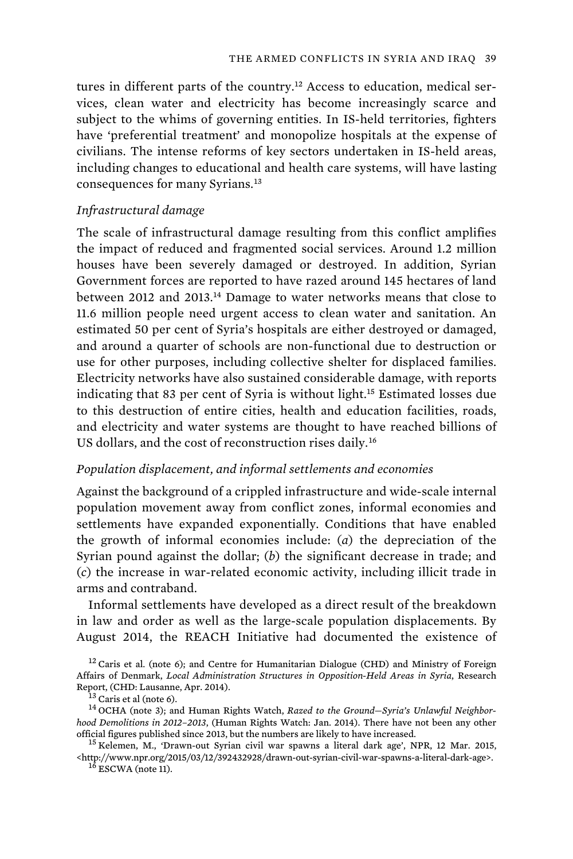tures in different parts of the country.<sup>12</sup> Access to education, medical services, clean water and electricity has become increasingly scarce and subject to the whims of governing entities. In IS-held territories, fighters have 'preferential treatment' and monopolize hospitals at the expense of civilians. The intense reforms of key sectors undertaken in IS-held areas, including changes to educational and health care systems, will have lasting consequences for many Syrians.<sup>13</sup>

### *Infrastructural damage*

The scale of infrastructural damage resulting from this conflict amplifies the impact of reduced and fragmented social services. Around 1.2 million houses have been severely damaged or destroyed. In addition, Syrian Government forces are reported to have razed around 145 hectares of land between 2012 and 2013.<sup>14</sup> Damage to water networks means that close to 11.6 million people need urgent access to clean water and sanitation. An estimated 50 per cent of Syria's hospitals are either destroyed or damaged, and around a quarter of schools are non-functional due to destruction or use for other purposes, including collective shelter for displaced families. Electricity networks have also sustained considerable damage, with reports indicating that 83 per cent of Syria is without light.<sup>15</sup> Estimated losses due to this destruction of entire cities, health and education facilities, roads, and electricity and water systems are thought to have reached billions of US dollars, and the cost of reconstruction rises daily.<sup>16</sup>

#### *Population displacement, and informal settlements and economies*

Against the background of a crippled infrastructure and wide-scale internal population movement away from conflict zones, informal economies and settlements have expanded exponentially. Conditions that have enabled the growth of informal economies include: (*a*) the depreciation of the Syrian pound against the dollar; (*b*) the significant decrease in trade; and (*c*) the increase in war-related economic activity, including illicit trade in arms and contraband.

Informal settlements have developed as a direct result of the breakdown in law and order as well as the large-scale population displacements. By August 2014, the REACH Initiative had documented the existence of

 $12$  Caris et al. (note 6); and Centre for Humanitarian Dialogue (CHD) and Ministry of Foreign Affairs of Denmark, *Local Administration Structures in Opposition-Held Areas in Syria*, Research Report, (CHD: Lausanne, Apr. 2014).<br><sup>13</sup> Caris et al (note 6). <sup>14</sup> OCHA (note 3); and Human Rights Watch, *Razed to the Ground—Syria's Unlawful Neighbor-*

*hood Demolitions in 2012–2013*, (Human Rights Watch: Jan. 2014). There have not been any other

<sup>15</sup> Kelemen, M., 'Drawn-out Syrian civil war spawns a literal dark age', NPR, 12 Mar. 2015,  $^{\text{th}}$  //www.npr.org/2015/03/12/392432928/drawn-out-syrian-civil-war-spawns-a-literal-dark-age>.  $^{16}$  ESCWA (note 11).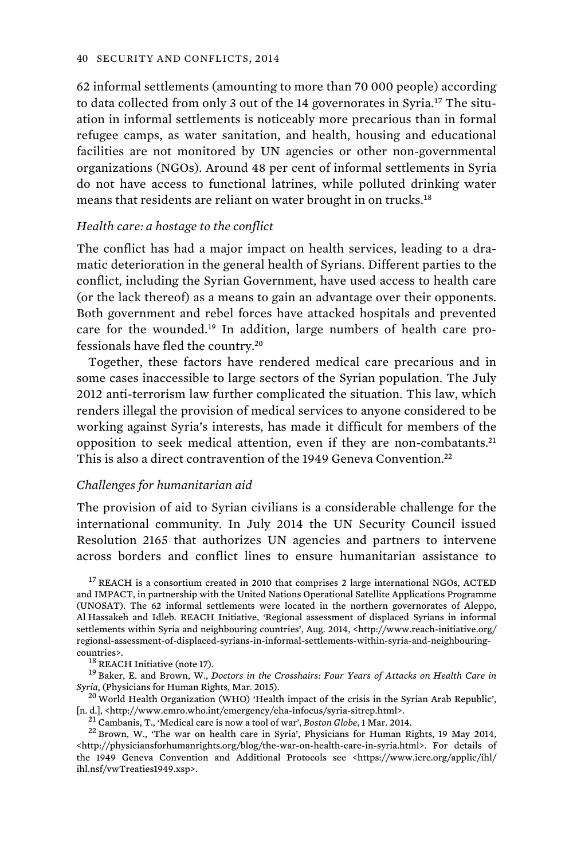62 informal settlements (amounting to more than 70 000 people) according to data collected from only 3 out of the 14 governorates in Syria.<sup>17</sup> The situation in informal settlements is noticeably more precarious than in formal refugee camps, as water sanitation, and health, housing and educational facilities are not monitored by UN agencies or other non-governmental organizations (NGOs). Around 48 per cent of informal settlements in Syria do not have access to functional latrines, while polluted drinking water means that residents are reliant on water brought in on trucks.<sup>18</sup>

### *Health care: a hostage to the conflict*

The conflict has had a major impact on health services, leading to a dramatic deterioration in the general health of Syrians. Different parties to the conflict, including the Syrian Government, have used access to health care (or the lack thereof) as a means to gain an advantage over their opponents. Both government and rebel forces have attacked hospitals and prevented care for the wounded.19 In addition, large numbers of health care professionals have fled the country.<sup>20</sup>

Together, these factors have rendered medical care precarious and in some cases inaccessible to large sectors of the Syrian population. The July 2012 anti-terrorism law further complicated the situation. This law, which renders illegal the provision of medical services to anyone considered to be working against Syria's interests, has made it difficult for members of the opposition to seek medical attention, even if they are non-combatants.<sup>21</sup> This is also a direct contravention of the 1949 Geneva Convention.<sup>22</sup>

### *Challenges for humanitarian aid*

The provision of aid to Syrian civilians is a considerable challenge for the international community. In July 2014 the UN Security Council issued Resolution 2165 that authorizes UN agencies and partners to intervene across borders and conflict lines to ensure humanitarian assistance to

<sup>17</sup>REACH is a consortium created in 2010 that comprises 2 large international NGOs, ACTED and IMPACT, in partnership with the United Nations Operational Satellite Applications Programme (UNOSAT). The 62 informal settlements were located in the northern governorates of Aleppo, Al Hassakeh and Idleb. REACH Initiative, 'Regional assessment of displaced Syrians in informal settlements within Syria and neighbouring countries', Aug. 2014, <http://www.reach-initiative.org/ regional-assessment-of-displaced-syrians-in-informal-settlements-within-syria-and-neighbouring-

countries>.<br><sup>18</sup> REACH Initiative (note 17).<br><sup>19</sup> Baker, E. and Brown, W., *Doctors in the Crosshairs: Four Years of Attacks on Health Care in* 

*Syria*, (Physicians for Human Rights, Mar. 2015). <sup>20</sup> World Health Organization (WHO) 'Health impact of the crisis in the Syrian Arab Republic', [n. d.], <http://www.emro.who.int/emergency/eha-infocus/syria-sitrep.html>.

<sup>21</sup> Cambanis, T., 'Medical care is now a tool of war', *Boston Globe*, 1 Mar. 2014.<br><sup>22</sup> Brown, W., 'The war on health care in Syria', Physicians for Human Rights, 19 May 2014, <http://physiciansforhumanrights.org/blog/the-war-on-health-care-in-syria.html>. For details of the 1949 Geneva Convention and Additional Protocols see <https://www.icrc.org/applic/ihl/ ihl.nsf/vwTreaties1949.xsp>.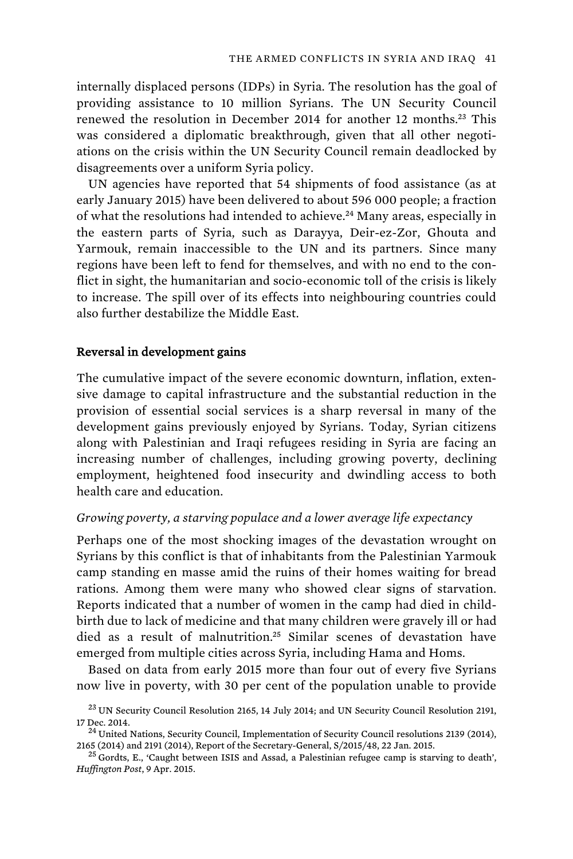internally displaced persons (IDPs) in Syria. The resolution has the goal of providing assistance to 10 million Syrians. The UN Security Council renewed the resolution in December 2014 for another 12 months.<sup>23</sup> This was considered a diplomatic breakthrough, given that all other negotiations on the crisis within the UN Security Council remain deadlocked by disagreements over a uniform Syria policy.

UN agencies have reported that 54 shipments of food assistance (as at early January 2015) have been delivered to about 596 000 people; a fraction of what the resolutions had intended to achieve.<sup>24</sup> Many areas, especially in the eastern parts of Syria, such as Darayya, Deir-ez-Zor, Ghouta and Yarmouk, remain inaccessible to the UN and its partners. Since many regions have been left to fend for themselves, and with no end to the conflict in sight, the humanitarian and socio-economic toll of the crisis is likely to increase. The spill over of its effects into neighbouring countries could also further destabilize the Middle East.

### Reversal in development gains

The cumulative impact of the severe economic downturn, inflation, extensive damage to capital infrastructure and the substantial reduction in the provision of essential social services is a sharp reversal in many of the development gains previously enjoyed by Syrians. Today, Syrian citizens along with Palestinian and Iraqi refugees residing in Syria are facing an increasing number of challenges, including growing poverty, declining employment, heightened food insecurity and dwindling access to both health care and education.

### *Growing poverty, a starving populace and a lower average life expectancy*

Perhaps one of the most shocking images of the devastation wrought on Syrians by this conflict is that of inhabitants from the Palestinian Yarmouk camp standing en masse amid the ruins of their homes waiting for bread rations. Among them were many who showed clear signs of starvation. Reports indicated that a number of women in the camp had died in childbirth due to lack of medicine and that many children were gravely ill or had died as a result of malnutrition.<sup>25</sup> Similar scenes of devastation have emerged from multiple cities across Syria, including Hama and Homs.

Based on data from early 2015 more than four out of every five Syrians now live in poverty, with 30 per cent of the population unable to provide

 $^{23}$  UN Security Council Resolution 2165, 14 July 2014; and UN Security Council Resolution 2191, 17 Dec. 2014.<br><sup>24</sup> United Nations, Security Council, Implementation of Security Council resolutions 2139 (2014),

<sup>2165 (2014)</sup> and 2191 (2014), Report of the Secretary-General,  $S/2015/48$ , 22 Jan. 2015.<br><sup>25</sup> Gordts, E., 'Caught between ISIS and Assad, a Palestinian refugee camp is starving to death',

*Huffington Post*, 9 Apr. 2015.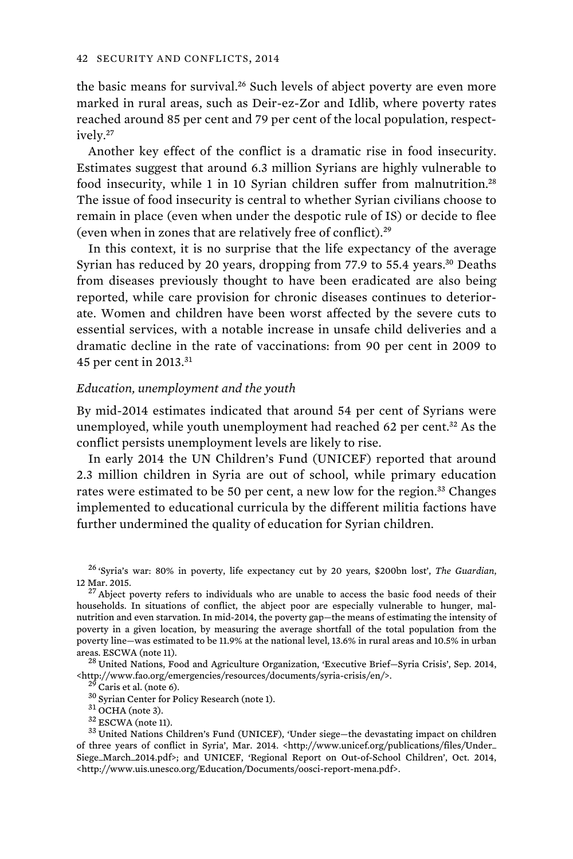the basic means for survival.<sup>26</sup> Such levels of abject poverty are even more marked in rural areas, such as Deir-ez-Zor and Idlib, where poverty rates reached around 85 per cent and 79 per cent of the local population, respectively.<sup>27</sup>

Another key effect of the conflict is a dramatic rise in food insecurity. Estimates suggest that around 6.3 million Syrians are highly vulnerable to food insecurity, while 1 in 10 Syrian children suffer from malnutrition.<sup>28</sup> The issue of food insecurity is central to whether Syrian civilians choose to remain in place (even when under the despotic rule of IS) or decide to flee (even when in zones that are relatively free of conflict).<sup>29</sup>

In this context, it is no surprise that the life expectancy of the average Syrian has reduced by 20 years, dropping from 77.9 to 55.4 years.<sup>30</sup> Deaths from diseases previously thought to have been eradicated are also being reported, while care provision for chronic diseases continues to deteriorate. Women and children have been worst affected by the severe cuts to essential services, with a notable increase in unsafe child deliveries and a dramatic decline in the rate of vaccinations: from 90 per cent in 2009 to 45 per cent in 2013.<sup>31</sup>

#### *Education, unemployment and the youth*

By mid-2014 estimates indicated that around 54 per cent of Syrians were unemployed, while youth unemployment had reached 62 per cent.<sup>32</sup> As the conflict persists unemployment levels are likely to rise.

In early 2014 the UN Children's Fund (UNICEF) reported that around 2.3 million children in Syria are out of school, while primary education rates were estimated to be 50 per cent, a new low for the region.<sup>33</sup> Changes implemented to educational curricula by the different militia factions have further undermined the quality of education for Syrian children.

<sup>26</sup>'Syria's war: 80% in poverty, life expectancy cut by 20 years, \$200bn lost', *The Guardian*, 12 Mar. 2015.<br><sup>27</sup> Abject poverty refers to individuals who are unable to access the basic food needs of their

households. In situations of conflict, the abject poor are especially vulnerable to hunger, malnutrition and even starvation. In mid-2014, the poverty gap—the means of estimating the intensity of poverty in a given location, by measuring the average shortfall of the total population from the poverty line—was estimated to be 11.9% at the national level, 13.6% in rural areas and 10.5% in urban

areas. ESCWA (note 11).<br> $^{28}$  United Nations, Food and Agriculture Organization, 'Executive Brief—Syria Crisis', Sep. 2014, %<http://www.fao.org/emergencies/resources/documents/syria-crisis/en/>.<br>  $^{29}$  Caris et al. (note 6).<br>  $^{30}$  Syrian Center for Policy Research (note 1).<br>  $^{31}$  OCHA (note 3).<br>  $^{32}$  ESCWA (note 11).<br>  $^{32}$  ESCWA (not

of three years of conflict in Syria', Mar. 2014. <http://www.unicef.org/publications/files/Under\_ Siege\_March\_2014.pdf>; and UNICEF, 'Regional Report on Out-of-School Children', Oct. 2014, <http://www.uis.unesco.org/Education/Documents/oosci-report-mena.pdf>.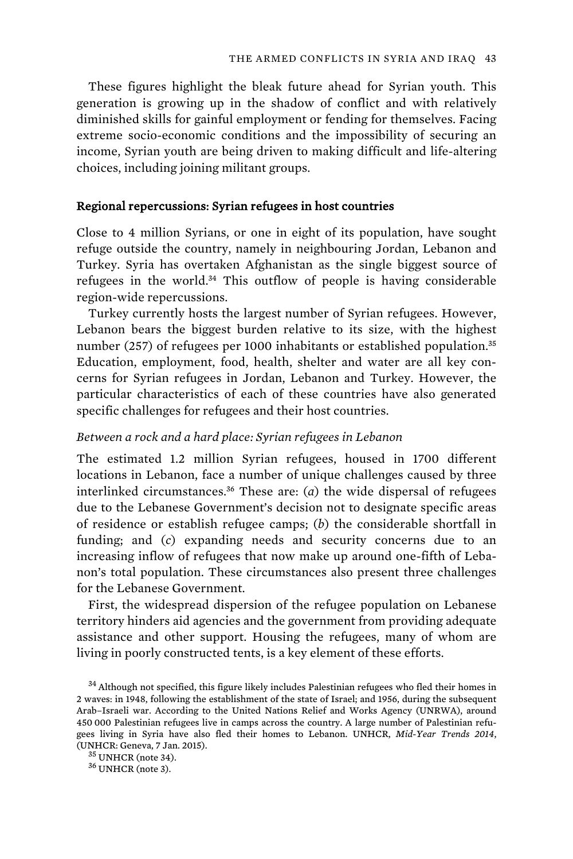These figures highlight the bleak future ahead for Syrian youth. This generation is growing up in the shadow of conflict and with relatively diminished skills for gainful employment or fending for themselves. Facing extreme socio-economic conditions and the impossibility of securing an income, Syrian youth are being driven to making difficult and life-altering choices, including joining militant groups.

### Regional repercussions: Syrian refugees in host countries

Close to 4 million Syrians, or one in eight of its population, have sought refuge outside the country, namely in neighbouring Jordan, Lebanon and Turkey. Syria has overtaken Afghanistan as the single biggest source of refugees in the world.<sup>34</sup> This outflow of people is having considerable region-wide repercussions.

Turkey currently hosts the largest number of Syrian refugees. However, Lebanon bears the biggest burden relative to its size, with the highest number (257) of refugees per 1000 inhabitants or established population.<sup>35</sup> Education, employment, food, health, shelter and water are all key concerns for Syrian refugees in Jordan, Lebanon and Turkey. However, the particular characteristics of each of these countries have also generated specific challenges for refugees and their host countries.

## *Between a rock and a hard place: Syrian refugees in Lebanon*

The estimated 1.2 million Syrian refugees, housed in 1700 different locations in Lebanon, face a number of unique challenges caused by three interlinked circumstances.<sup>36</sup> These are:  $(a)$  the wide dispersal of refugees due to the Lebanese Government's decision not to designate specific areas of residence or establish refugee camps; (*b*) the considerable shortfall in funding; and (*c*) expanding needs and security concerns due to an increasing inflow of refugees that now make up around one-fifth of Lebanon's total population. These circumstances also present three challenges for the Lebanese Government.

First, the widespread dispersion of the refugee population on Lebanese territory hinders aid agencies and the government from providing adequate assistance and other support. Housing the refugees, many of whom are living in poorly constructed tents, is a key element of these efforts.

<sup>&</sup>lt;sup>34</sup> Although not specified, this figure likely includes Palestinian refugees who fled their homes in 2 waves: in 1948, following the establishment of the state of Israel; and 1956, during the subsequent Arab–Israeli war. According to the United Nations Relief and Works Agency (UNRWA), around 450 000 Palestinian refugees live in camps across the country. A large number of Palestinian refugees living in Syria have also fled their homes to Lebanon. UNHCR, *Mid-Year Trends 2014*, (UNHCR: Geneva, 7 Jan. 2015). 35 UNHCR (note 34). 36 UNHCR (note 3).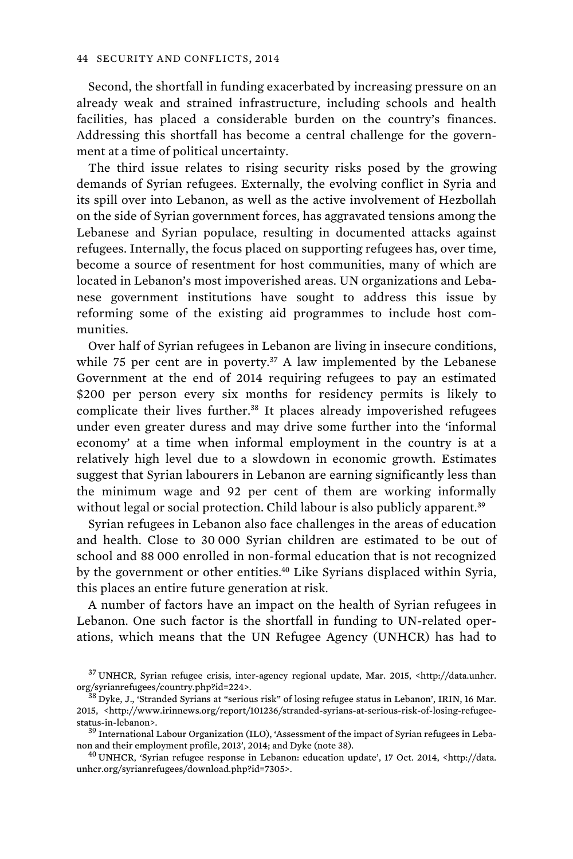Second, the shortfall in funding exacerbated by increasing pressure on an already weak and strained infrastructure, including schools and health facilities, has placed a considerable burden on the country's finances. Addressing this shortfall has become a central challenge for the government at a time of political uncertainty.

The third issue relates to rising security risks posed by the growing demands of Syrian refugees. Externally, the evolving conflict in Syria and its spill over into Lebanon, as well as the active involvement of Hezbollah on the side of Syrian government forces, has aggravated tensions among the Lebanese and Syrian populace, resulting in documented attacks against refugees. Internally, the focus placed on supporting refugees has, over time, become a source of resentment for host communities, many of which are located in Lebanon's most impoverished areas. UN organizations and Lebanese government institutions have sought to address this issue by reforming some of the existing aid programmes to include host communities.

Over half of Syrian refugees in Lebanon are living in insecure conditions, while 75 per cent are in poverty.<sup>37</sup> A law implemented by the Lebanese Government at the end of 2014 requiring refugees to pay an estimated \$200 per person every six months for residency permits is likely to complicate their lives further.<sup>38</sup> It places already impoverished refugees under even greater duress and may drive some further into the 'informal economy' at a time when informal employment in the country is at a relatively high level due to a slowdown in economic growth. Estimates suggest that Syrian labourers in Lebanon are earning significantly less than the minimum wage and 92 per cent of them are working informally without legal or social protection. Child labour is also publicly apparent.<sup>39</sup>

Syrian refugees in Lebanon also face challenges in the areas of education and health. Close to 30 000 Syrian children are estimated to be out of school and 88 000 enrolled in non-formal education that is not recognized by the government or other entities.<sup>40</sup> Like Syrians displaced within Syria, this places an entire future generation at risk.

A number of factors have an impact on the health of Syrian refugees in Lebanon. One such factor is the shortfall in funding to UN-related operations, which means that the UN Refugee Agency (UNHCR) has had to

<sup>37</sup>UNHCR, Syrian refugee crisis, inter-agency regional update, Mar. 2015, <http://data.unhcr. org/syrianrefugees/country.php?id=224>.<br><sup>38</sup> Dyke, J., 'Stranded Syrians at "serious risk" of losing refugee status in Lebanon', IRIN, 16 Mar.

<sup>2015, &</sup>lt;http://www.irinnews.org/report/101236/stranded-syrians-at-serious-risk-of-losing-refugeestatus-in-lebanon>.<br><sup>39</sup> International Labour Organization (ILO), 'Assessment of the impact of Syrian refugees in Leba-

non and their employment profile, 2013', 2014; and Dyke (note 38).  $^{40}$  UNHCR, 'Syrian refugee response in Lebanon: education update', 17 Oct. 2014, <http://data.

unhcr.org/syrianrefugees/download.php?id=7305>.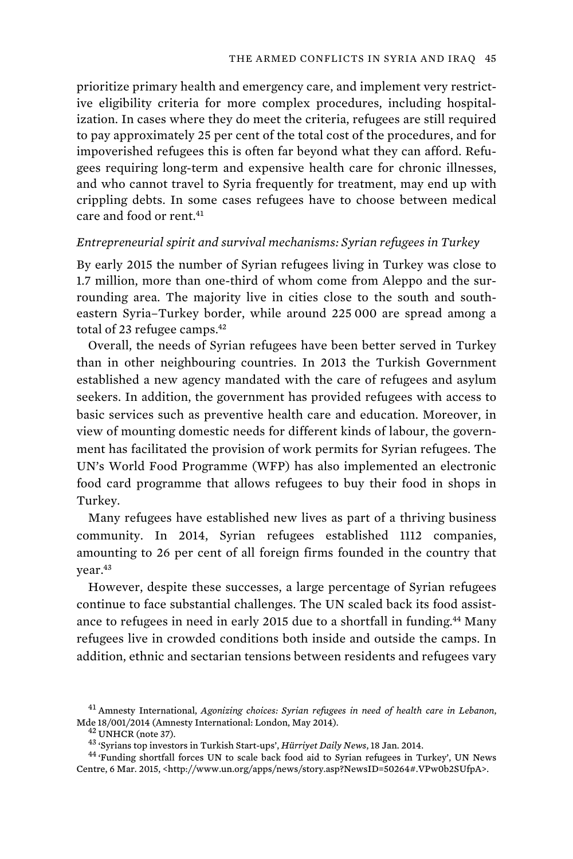prioritize primary health and emergency care, and implement very restrictive eligibility criteria for more complex procedures, including hospitalization. In cases where they do meet the criteria, refugees are still required to pay approximately 25 per cent of the total cost of the procedures, and for impoverished refugees this is often far beyond what they can afford. Refugees requiring long-term and expensive health care for chronic illnesses, and who cannot travel to Syria frequently for treatment, may end up with crippling debts. In some cases refugees have to choose between medical care and food or rent.<sup>41</sup>

### *Entrepreneurial spirit and survival mechanisms: Syrian refugees in Turkey*

By early 2015 the number of Syrian refugees living in Turkey was close to 1.7 million, more than one-third of whom come from Aleppo and the surrounding area. The majority live in cities close to the south and southeastern Syria–Turkey border, while around 225 000 are spread among a total of 23 refugee camps.<sup>42</sup>

Overall, the needs of Syrian refugees have been better served in Turkey than in other neighbouring countries. In 2013 the Turkish Government established a new agency mandated with the care of refugees and asylum seekers. In addition, the government has provided refugees with access to basic services such as preventive health care and education. Moreover, in view of mounting domestic needs for different kinds of labour, the government has facilitated the provision of work permits for Syrian refugees. The UN's World Food Programme (WFP) has also implemented an electronic food card programme that allows refugees to buy their food in shops in Turkey.

Many refugees have established new lives as part of a thriving business community. In 2014, Syrian refugees established 1112 companies, amounting to 26 per cent of all foreign firms founded in the country that year.<sup>43</sup>

However, despite these successes, a large percentage of Syrian refugees continue to face substantial challenges. The UN scaled back its food assistance to refugees in need in early 2015 due to a shortfall in funding.<sup>44</sup> Many refugees live in crowded conditions both inside and outside the camps. In addition, ethnic and sectarian tensions between residents and refugees vary

<sup>41</sup>Amnesty International, *Agonizing choices: Syrian refugees in need of health care in Lebanon*, Mde 18/001/2014 (Amnesty International: London, May 2014).<br> $$^{42}$  UNHCR (note 37).<br> $$^{43}$  'Syrians top investors in Turkish Start-ups', *Hürriyet Daily News*, 18 Jan. 2014.<br> $$^{43}$  'Syrians top investors in Turkish Star

Centre, 6 Mar. 2015, <http://www.un.org/apps/news/story.asp?NewsID=50264#.VPw0b2SUfpA>.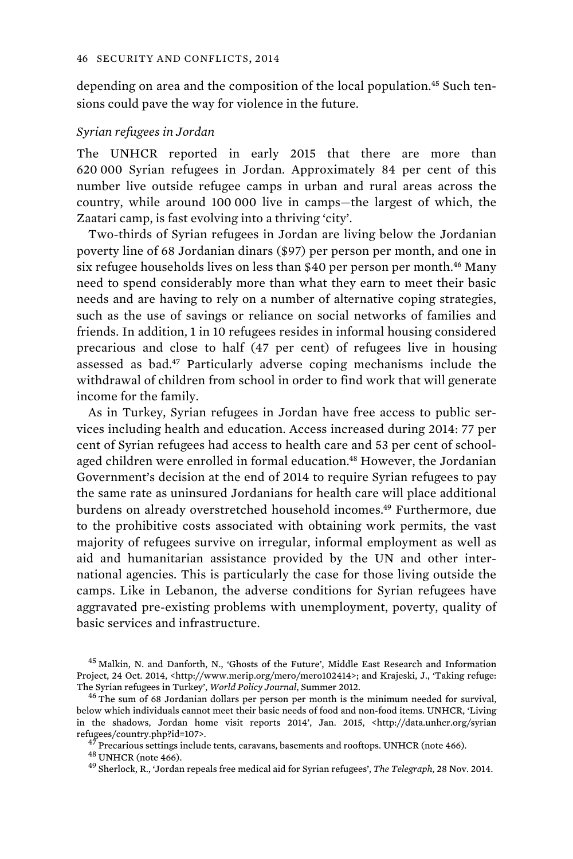depending on area and the composition of the local population.45 Such tensions could pave the way for violence in the future.

#### *Syrian refugees in Jordan*

The UNHCR reported in early 2015 that there are more than 620 000 Syrian refugees in Jordan. Approximately 84 per cent of this number live outside refugee camps in urban and rural areas across the country, while around 100 000 live in camps—the largest of which, the Zaatari camp, is fast evolving into a thriving 'city'.

Two-thirds of Syrian refugees in Jordan are living below the Jordanian poverty line of 68 Jordanian dinars (\$97) per person per month, and one in six refugee households lives on less than \$40 per person per month.<sup>46</sup> Many need to spend considerably more than what they earn to meet their basic needs and are having to rely on a number of alternative coping strategies, such as the use of savings or reliance on social networks of families and friends. In addition, 1 in 10 refugees resides in informal housing considered precarious and close to half (47 per cent) of refugees live in housing assessed as bad.<sup>47</sup> Particularly adverse coping mechanisms include the withdrawal of children from school in order to find work that will generate income for the family.

As in Turkey, Syrian refugees in Jordan have free access to public services including health and education. Access increased during 2014: 77 per cent of Syrian refugees had access to health care and 53 per cent of schoolaged children were enrolled in formal education.<sup>48</sup> However, the Jordanian Government's decision at the end of 2014 to require Syrian refugees to pay the same rate as uninsured Jordanians for health care will place additional burdens on already overstretched household incomes.<sup>49</sup> Furthermore, due to the prohibitive costs associated with obtaining work permits, the vast majority of refugees survive on irregular, informal employment as well as aid and humanitarian assistance provided by the UN and other international agencies. This is particularly the case for those living outside the camps. Like in Lebanon, the adverse conditions for Syrian refugees have aggravated pre-existing problems with unemployment, poverty, quality of basic services and infrastructure.

<sup>&</sup>lt;sup>45</sup> Malkin, N. and Danforth, N., 'Ghosts of the Future', Middle East Research and Information Project, 24 Oct. 2014, <http://www.merip.org/mero/mero102414>; and Krajeski, J., 'Taking refuge:<br>The Syrian refugees in Turkey', World Policy Journal, Summer 2012.

<sup>&</sup>lt;sup>46</sup> The sum of 68 Jordanian dollars per person per month is the minimum needed for survival, below which individuals cannot meet their basic needs of food and non-food items. UNHCR, 'Living in the shadows, Jordan home visit reports 2014', Jan. 2015, <http://data.unhcr.org/syrian refugees/country.php?id=107>.<br><sup>47</sup> Precarious settings include tents, caravans, basements and rooftops. UNHCR (note 466).<br><sup>48</sup> UNHCR (note 466).<br><sup>49</sup> Sherlock, R., 'Jordan repeals free medical aid for Syrian refugees', *T*